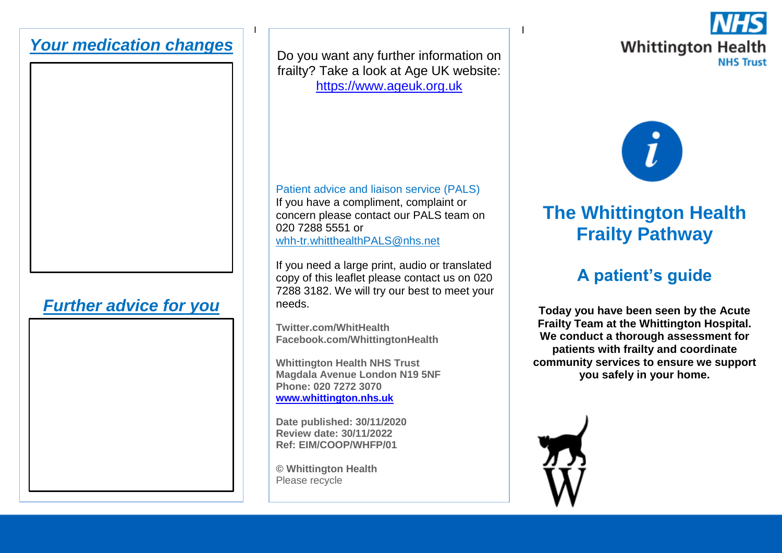### *Your medication changes*

### *Further advice for you*

Do you want any further information on frailty? Take a look at Age UK website: [https://www.ageuk.org.uk](https://www.ageuk.org.uk/)

<u>I i provincia de la contrada de la contrada de la contrada de la contrada de la contrada de la con</u>

#### Patient advice and liaison service (PALS)

If you have a compliment, complaint or concern please contact our PALS team on 020 7288 5551 or [whh-tr.whitthealthPALS@nhs.net](mailto:whh-tr.whitthealthPALS@nhs.net)

If you need a large print, audio or translated copy of this leaflet please contact us on 020 7288 3182. We will try our best to meet your needs.

**Twitter.com/WhitHealth Facebook.com/WhittingtonHealth**

**Whittington Health NHS Trust Magdala Avenue London N19 5NF Phone: 020 7272 3070 [www.whittington.nhs.uk](http://www.whittington.nhs.uk/)**

**Date published: 30/11/2020 Review date: 30/11/2022 Ref: EIM/COOP/WHFP/01**

**© Whittington Health**  Please recycle

# **Whittington Health NHS Trust**



## **The Whittington Health Frailty Pathway**

### **A patient's guide**

**Today you have been seen by the Acute Frailty Team at the Whittington Hospital. We conduct a thorough assessment for patients with frailty and coordinate community services to ensure we support you safely in your home.**